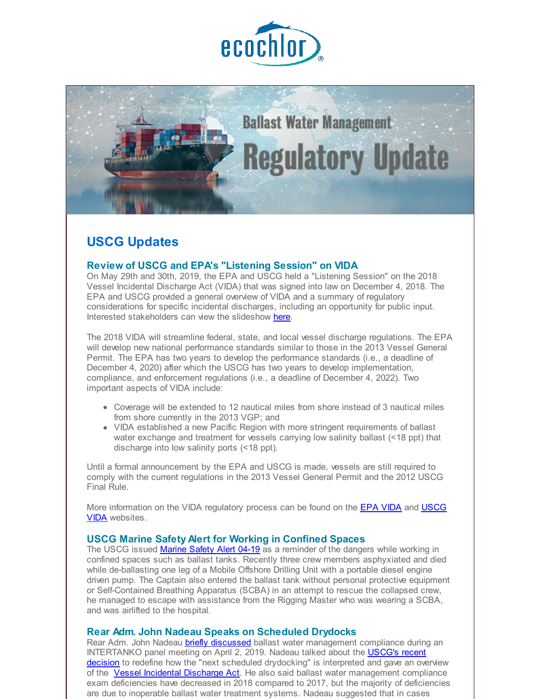



# **USCG Updates**

#### **Review of USCG and EPA's "Listening Session" on VIDA**

On May 29th and 30th, 2019, the EPA and USCG held a "Listening Session" on the 2018 Vessel Incidental Discharge Act (VIDA) that was signed into law on December 4, 2018. The EPA and USCG provided a general overview of VIDA and a summary of regulatory considerations for specific incidental discharges, including an opportunity for public input. Interested stakeholders can view the slideshow [here](http://r20.rs6.net/tn.jsp?f=001obKBz4J7XbEJUJ5Ck_RjSesS5e4OjAGq2TXvL6vR-qVl35QEYfQQoGQ04oaiqG96vHvP8NB-7c_A98tHCQhpzQasiL3-GiAJFli5k1y8Gbn-TtUHsGWnOxzpkBW9knRrEvFpQQrYEEd0ikEnSmsP3FC_ySlO30PYdQfvLXolZypyRV_AiLLtg4uDyCrHvUkJwRaa2ywUVvOQdfhe9xlWEE8QVt38BLJo1AKP7-YXdsSPse1nC1u8GSTwBvd4iln7t0NnFHyEs1MF7QzjJ4-WOYd7lu_o_cBZ4LB-Hj236CW5nMg7R2a8NoenqmHTtz2nvNf4Jt8L4VbAs73SN-dBlmiBjzX-s01RBkPJtdJ5z2okfgw3H2VAlVDYZbgvF91a-IB29yoheg-gXqCpLMm9J8zlYVLf45-XeU6aqHfAQWc=&c=&ch=).

The 2018 VIDA will streamline federal, state, and local vessel discharge regulations. The EPA will develop new national performance standards similar to those in the 2013 Vessel General Permit. The EPA has two years to develop the performance standards (i.e., a deadline of December 4, 2020) after which the USCG has two years to develop implementation, compliance, and enforcement regulations (i.e., a deadline of December 4, 2022). Two important aspects of VIDA include:

- Coverage will be extended to 12 nautical miles from shore instead of 3 nautical miles from shore currently in the 2013 VGP; and
- VIDA established a new Pacific Region with more stringent requirements of ballast water exchange and treatment for vessels carrying low salinity ballast (<18 ppt) that discharge into low salinity ports (<18 ppt).

Until a formal announcement by the EPA and USCG is made, vessels are still required to comply with the current regulations in the 2013 Vessel General Permit and the 2012 USCG Final Rule.

More [information](http://r20.rs6.net/tn.jsp?f=001obKBz4J7XbEJUJ5Ck_RjSesS5e4OjAGq2TXvL6vR-qVl35QEYfQQoGQ04oaiqG96zJXOJ__xXLO-MZga1lmgqO7iXWoZFZRpLvLDOn2wqgPuj_4TAlbaz4IFe7TpQOGsI7hmbt3MUyBRxDul28n_b296emqOBSPrA9-Mt-Fz28K2COtkNL6--UDN-IDN5TyA6bobI8O6AVJUjaov2vCipgBvuiHlCgKYVf8t3ZXUDmqdUHswksijm14DO8sgPKBzY7bJ1b8UheldjUe4g6rL7RjzERSTzMzYFk7cDoprH6nVJBoK-Aw2zxeFBSzUKcyoH6bGi5fENlRPVBQG9s7e56YbrWi8BND6Fkkax1lUO2FVG7OmenR7KVLYcpgFg-ItiP4gwFdnHyJWezhJPUHEfA==&c=&ch=) on the VIDA regulatory process can be found on the EPA [VIDA](http://r20.rs6.net/tn.jsp?f=001obKBz4J7XbEJUJ5Ck_RjSesS5e4OjAGq2TXvL6vR-qVl35QEYfQQoGQ04oaiqG96zJXOJ__xXLO-MZga1lmgqO7iXWoZFZRpLvLDOn2wqgPuj_4TAlbaz4IFe7TpQOGsI7hmbt3MUyBRxDul28n_b296emqOBSPrA9-Mt-Fz28K2COtkNL6--UDN-IDN5TyA6bobI8O6AVJUjaov2vCipgBvuiHlCgKYVf8t3ZXUDmqdUHswksijm14DO8sgPKBzY7bJ1b8UheldjUe4g6rL7RjzERSTzMzYFk7cDoprH6nVJBoK-Aw2zxeFBSzUKcyoH6bGi5fENlRPVBQG9s7e56YbrWi8BND6Fkkax1lUO2FVG7OmenR7KVLYcpgFg-ItiP4gwFdnHyJWezhJPUHEfA==&c=&ch=) and USCG VIDA websites.

#### **USCG Marine Safety Alert for Working in Confined Spaces**

The USCG issued [Marine](http://r20.rs6.net/tn.jsp?f=001obKBz4J7XbEJUJ5Ck_RjSesS5e4OjAGq2TXvL6vR-qVl35QEYfQQoGQ04oaiqG96KXrjTgzJSZ-tF0t2DVgnIo2arXbPYLtQefI86ztABD5GP95B4oBDgAulOwqoOyUe0FqrO23PI9JMXZMDqd_5RpfUYQnxaAuwoBc6wt8BGa3O-YA5xQYqnC37xFo-3TOx_QM7Qs3CYliZp6mY1HUuYWlJiMSY9Ivtlj569H9NWCKL8MGuRzAzy9W7VuUyE0-nVErYmJuDMI2x7i1_qrTbALfNBrNjKAu8WHzE1sDyYmzp5an5Cx-zizTWiGoNyXF7nKSDsVMCxv09tWSlQlexc5O-hKksQgbaJPAaiQGKaFGsL-Mal-EolsHoOsYUzi7dNnvND22PSQ5HNxf8ljhgoYbhjitpWbHf6Nn3FcjF7R0-epRCQd3WxGi-XBPoeBHbwlT96vpxQtW7Y9NmAzWmMw==&c=&ch=) Safety Alert 04-19 as a reminder of the dangers while working in confined spaces such as ballast tanks. Recently three crew members asphyxiated and died while de-ballasting one leg of a Mobile Offshore Drilling Unit with a portable diesel engine driven pump. The Captain also entered the ballast tank without personal protective equipment or Self-Contained Breathing Apparatus (SCBA) in an attempt to rescue the collapsed crew, he managed to escape with assistance from the Rigging Master who was wearing a SCBA, and was airlifted to the hospital.

#### **Rear Adm. John Nadeau Speaks on Scheduled Drydocks**

Rear Adm. John Nadeau briefly [discussed](http://r20.rs6.net/tn.jsp?f=001obKBz4J7XbEJUJ5Ck_RjSesS5e4OjAGq2TXvL6vR-qVl35QEYfQQoGQ04oaiqG963Ypytzjb88lxYoL6UFVnEv1Lk291b4h1TUXnmuLc9aavDKWL8dAYZiFUDTRXD0lfxNkmqcBr0Q9A-P5dyIV5j7t2Cf8SLilnQFXw_F1sA9UJHNHdbJANZI7BRxEUFtB_Vg-zfJ2PD7Q2YoLmuQe11ZX1KY3UlXHMq6cBEbVFdHGdtBe6ziD4AjCKLxav6dBdmueQ0KKNvYlqMTvJODg7PKPkf2BeKmU8eJvhFRFGqk5E9oNrlvzACTnojZHWwplN160y2zbemNiV0yU2fBukl3598RUSidGxNaR_pqN7ERmGo8De_0Yj45lTA2P6bqxR1g1ItEmd6LCd9V3ACsUY9hckD713HFgj-kmyFZdEh1tSVvsae5NvzH9dYXbPWsMLRvxUnUMIRXcXS4JcIUpkJMQ1SbjaF3Wv&c=&ch=) ballast water management compliance during an [INTERTANKO](http://r20.rs6.net/tn.jsp?f=001obKBz4J7XbEJUJ5Ck_RjSesS5e4OjAGq2TXvL6vR-qVl35QEYfQQoC5rX-2VNegA04gW-K53OPyjnNChZqPKGJhdwcm-kPL3LpvDSqVN-ka3Zn4ToauZkm7lOjvj5ZTNGhcQijknr1t_8Pxk_yxLoXzO7Qsr_xuaqe1_MV9SVEr_EFkyDUzneZFHc0EohiTpusMOogp2PN4heYDz5wFOPq047LtMfWvZ3KjWvm27X6I3FGNT-hNrgQA1fe3jSDFIYkgKvTltD3b_9LUeGNX7rTWGCe7rUdRJFIvjOSEdf4wdCmc2nVjQFLhPJ5dPSHicpgddQY5gBJEsycGScIEos-x7BIvHu3bFOGgjsFB_oPr2_BtyTUgqTEv_WDEW3H11wTDs6C2NShrUojAxjLb49F8lmMLV8rVQuHc7lHU9q-VvAeRAihHDXup6kyb7l_YUfefNpHxDdMk74a5KWRW2yw==&c=&ch=) panel meeting on April 2, 2019. Nadeau talked about the USCG's recent decision to redefine how the "next scheduled drydocking" is interpreted and gave an overview of the Vessel Incidental [Discharge](http://r20.rs6.net/tn.jsp?f=001obKBz4J7XbEJUJ5Ck_RjSesS5e4OjAGq2TXvL6vR-qVl35QEYfQQoGQ04oaiqG96spmSzSeJojD1TQmNoeKrAD15r0JXayL4I3dWBaqk8GEWOcusqMKoynZqA71qjYAYSeVuXeK6j7j5-T421yf_jOUEKk_rphpo6PAPn7UGmb_Q9Zu2IOEqE48KmccL6Br8uLNG1rRxQrRdJ9uzQCKZMV9VAuZWIxniCpZjOgo4T6w0S9s_r-YtuMtwCUkqQQz-V0DtNsof9tmrJARaAHhzOqsBZVaCCwaeL8KOZo7CbDOC_WhmE8cVNpyXYpvYOkDRRo5Dwphsa4w56-6hNaBq9iuMjplcDvNYDHUM0sU3AYAbbT2hSt8GTMjZzCVjEYS-Fu8c9qWkwvhApBaYr8aYUIEEKPs224tIFycGjf0U3Pc=&c=&ch=) Act. He also said ballast water management compliance exam deficiencies have decreased in 2018 compared to 2017, but the majority of deficiencies are due to inoperable ballast water treatment systems. Nadeau suggested that in cases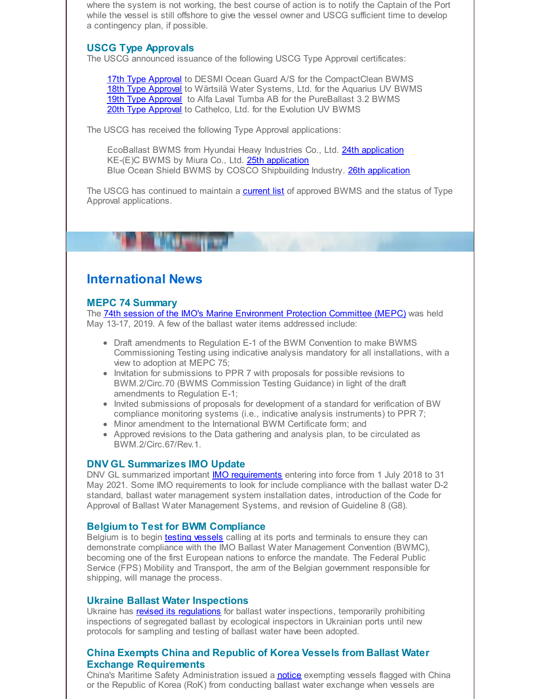where the system is not working, the best course of action is to notify the Captain of the Port while the vessel is still offshore to give the vessel owner and USCG sufficient time to develop a contingency plan, if possible.

# **USCG Type Approvals**

The USCG announced issuance of the following USCG Type Approval certificates:

17th Type [Approval](http://r20.rs6.net/tn.jsp?f=001obKBz4J7XbEJUJ5Ck_RjSesS5e4OjAGq2TXvL6vR-qVl35QEYfQQoGQ04oaiqG96Wp0OdDuvLHyhG5l35WjWTi2-D6QMF1izl-q-FvycFdj8UjYT_okN1TOUtPMofKnXUViollX9gAsOwOVzZlEus5Jovz-sDuYN1aRoLAffX0pHgwD3n50IbWTsC6AI00ckjoeZth9OuSi8-2dWBz_lMqTrqTGSUjjBVZD_9mCkl_pGoe-vszNOQu8J8PsPYU-AV4UDkvV2SnpNH97bI-9d4W8SK5KWT7bHpusDbpXWVt8E8ANZG1kxty53eQY1egdxPWX18rFI8uBnxh3HnaeA-YXE0ARMN29I0LyHeXupDi-NUc4cF3Ohl_hmz0yZ-leaO9GbnotWy3qS80I8sltsK-Mq9HdiTAyyCJ0R73RFcabyMVAExuBaXZj5ocm-ScqEHd-w8t593rEMkd5kHqNu5Hm4U9zh11bs_u6rUEbJr7AkO9gcAtsx81c9K8byk1E0tJWtfEfYBOeiZr1OpfnYUQ==&c=&ch=) to DESMI Ocean Guard A/S for the CompactClean BWMS 18th Type [Approval](http://r20.rs6.net/tn.jsp?f=001obKBz4J7XbEJUJ5Ck_RjSesS5e4OjAGq2TXvL6vR-qVl35QEYfQQoGQ04oaiqG96wheglfZi4P9_Uw_ffogBUAG5q6wIz23lZ9G-w-JQAt7sOCN8NkdOWIMze4LFoTJr6NSWlYz7m-Re9mo7B0IFHaHKU8wVP3T7smEhjWO527Oq3B-X30YI4_6AQFxUEHjxa40qbB3Vd1_RaJ0-e27cCy7y9AlU-iQHEBXT64TBMXDI9pbZV4ZQJzAe1iC6yq8ehsOtSb0LVW1NupxUTVDj_7nwBvx5xnRUiIBOL922Wr9YcuUk3x5SS4Zopb0lrQOmizl4xqgPZoZH9FIpg93x2mRWk0VI1sQW_jVBqUZOyn2CvcXQM2bGrvbf3revm785&c=&ch=) to Wärtsilä Water Systems, Ltd. for the Aquarius UV BWMS 19th Type [Approval](http://r20.rs6.net/tn.jsp?f=001obKBz4J7XbEJUJ5Ck_RjSesS5e4OjAGq2TXvL6vR-qVl35QEYfQQoGQ04oaiqG96ikpinkTiSiSSeApT4Ncapxh1FHxQ4ZdWd9iDq_9H4QVt2ktxZn7cHo3yFUsmOkckRqxdqGlo-3MF07NwcZphYyJp0VF2Kc7xlEUrQHsy_CVhKtgNNH9xjYQcgQykT42uAykwUpqWpPG_GRDQjknuYeVK-wLLa2WnF8r4H9SjvaF4Wxfi26VvEBF6elqDF6fAWPwwNpdX1l2fyMrJkVZrEU-YCdHYQQuBVvjiPs0ohM8ViggpMZtIoBC1lMatp040Pr7msNsxl_HwKK-UY3pPNNl6W2bH_gQaJaH4S1ytlI4enwLlqwrwzoCSPKDdWW1PKp62jWpsm1DQj8BdEmrEG9x0fRIeDB27B3e9tSVOlJ4BiUC3VHIXrw5oKsW297r60RH53I7BSjqo4Xc2bGSTdWKofoxqQ4mLTLv5yvsMSURySHhogh8A5gIJ6yFjZFaH-HE5fnDMCFW4Y8Fs61Zaxw==&c=&ch=) to Alfa Laval Tumba AB for the PureBallast 3.2 BWMS 20th Type [Approval](http://r20.rs6.net/tn.jsp?f=001obKBz4J7XbEJUJ5Ck_RjSesS5e4OjAGq2TXvL6vR-qVl35QEYfQQoGQ04oaiqG96QK2299cbqjSn7s6dUcPuAQ_8qWN6msyk9mx3HIDn4_yV_PZB-uGOF_XVpCCsFiJ0wSswbF4-inOAekpddRf0PflF3sSj3wa7FMvPD80eUweYoAaBqZaztUiGAzP8BlTYbao2Qp-z__g8sUJvSZb7G8QziYsK83AD2yQE7NHkh9bgwAE3QHE-Vym_Rvw8lJtRCg0IA66W9n_qVk7hfvR-4uPRlMZfXpVPOgkf7UtLjgWpX_njrrluXv98nTfrvRMCDN39jINSVVe5J-_EWurKVc9nFQsFEgJfZY3CyfSlCTBa6qE01FKJnFpqWNSVOsdRA-x7MVWInuGtJ_verzYAJg==&c=&ch=) to Cathelco, Ltd. for the Evolution UV BWMS

The USCG has received the following Type Approval applications:

EcoBallast BWMS from Hyundai Heavy Industries Co., Ltd. 24th [application](http://r20.rs6.net/tn.jsp?f=001obKBz4J7XbEJUJ5Ck_RjSesS5e4OjAGq2TXvL6vR-qVl35QEYfQQoE_bhEcQ1vCJPuDvubswk5FF3fjlczDLEr90mHuOjEXGvTviZq6jXCk-wyDiPQqcuIke_qF55cImnDhgz4vm5Huqosni7ACjBzXhkeMUuYC1TGejEQwZVgWqyraOnF41dQ4iYKm_qjDtgk3sAOgFTPMzZ1xHV7qEkqD-Yo9ZyTyow3CkQjLnbYECG_ZkUaqCYLLiroaagZFG5sQvXTPoVmR_Pago7b51CzoPL5juUsfAG3_qOp_bJltpUOOz59Y9j0OLyx_kDmxmfCx2gZ80eQeMEIDI7Q7_LYZH4YdnhgJB-HHDSEmdgIjNL7rW3Ckmh5DiqJgz2L15z1wgzxXmycgo9Y_io6Mjt6nHMozdR-CoSNuZshc8C-XFqF0Rs5PaIFQB6ownrAxZ89OCesOw9KSvtbmtBqUZ8A==&c=&ch=) KE-(E)C BWMS by Miura Co., Ltd. 25th [application](http://r20.rs6.net/tn.jsp?f=001obKBz4J7XbEJUJ5Ck_RjSesS5e4OjAGq2TXvL6vR-qVl35QEYfQQoGQ04oaiqG96symk4sEV3WjaxtEDnK6MV2jVKY3uFFS9tqc4t-4jHltk2L-kKSljl0LQwHIZwxoPlkf21nisdbZ3v2RLllxFEgeYMLwqlwnhD89hyb9U9BbvirSJzHNhuidoXmYT3bZzkdawQ6mfviz2LLJ5A7GiUGir7CyT4wbeKcueZsNTPVwCSKwtLPE2Copp9a8ng7KLxpvTjoQErGUBjCwf5viAlOU69L_beSP3DkbJaIojW5yl_ENOtH4u_-QxqXJulpbbhoMUCq65TjoFeGxdHrvhXt_3nqqeVkXIRVsdrhQJC4VNioVLFdLox0ndv_k_3RKuYNSTvZ5S3dW0RfLiMROW0ZGrh4N-y3Ll2v2sV8eyCzEf8f8u9wRkCgR34q0VWt0seCbpZlwMyDnQtSZyXS_hDgBrSQXy2zRO-zf5YscWufIewfVbx8ABWhO0XwjIB0LF&c=&ch=) Blue Ocean Shield BWMS by COSCO Shipbuilding Industry. 26th [application](http://r20.rs6.net/tn.jsp?f=001obKBz4J7XbEJUJ5Ck_RjSesS5e4OjAGq2TXvL6vR-qVl35QEYfQQoE_bhEcQ1vCJujDGBEssGietzFD4xIY8ljMq-n2rGbfUhhwB1GKXvLbO1mjjPi7vGTVZwPYQ9BjrSfu3Sx98cgMnORfT3s5Cu0FwPIcKoEzS2RFvp0eX8KJrl-lJKDbttErXMVeA3H6B153sg16Fyx50px1GTo6bhYSaSkKMdcxsN8L9MzVBzBStXKGahSNOzTALdunnWqJ_qIQfwAUgVqJMEd4-uxo5UddLyQvOa-H2zhvkIYcmWVnobZOdpsRLuuT93hqb3sSlRpnuhvIyCMGNTr5Mkd2HheeXjl2Xaa29iuYQ5f2kYVB7BuZOFc36Y9nl-Oj341EFPVsN2xu5jow=&c=&ch=)

The USCG has continued to maintain a [current](http://r20.rs6.net/tn.jsp?f=001obKBz4J7XbEJUJ5Ck_RjSesS5e4OjAGq2TXvL6vR-qVl35QEYfQQoAE9T_emoHrwDzJNSMLJ5qsj5gpFn6ppN3eT0YsRV_4OWr3vCzYObMZzlS7ADzMXS_bkso83BlGJSBc3D0hzr5KRRfj9CJiifm_MJ5Uka_SuGN64JABNLToeAXT8hcprtLqsbvBIeZASOXcjZnOd5TbrjDH0Yqz-S702r9fbodrDDeOSNcstkcPuS9ufPekQWIoEjeurNkCGewNfoCW1kqYBy1GD4c-zPJIPDNCBLvzN8TLYip9VftJQvX5HvLSO6uMIMO7E9UJNZfhayMSrGe3iF5uv8uslvsFSDwMsZQvjll0Q-a5_87JVX0TyRPHbgb_zFfJ21KQBBeF5tfq9v-9r_1lPlegG9PekSY52kwPlxiam2KG0Tatw7uWIT5iKPoM1cR_NCQJ2GJUtZ3FK8rkDDJaNMv7M_Q9ZDStGfUJagiXdJtUPSPaAp8xR1quld1639Yj_jzoENFKJpq-3Ed06hqJH72QClA==&c=&ch=) list of approved BWMS and the status of Type Approval applications.

# **International News**

#### **MEPC 74 Summary**

The 74th session of the IMO's Marine [Environment](http://r20.rs6.net/tn.jsp?f=001obKBz4J7XbEJUJ5Ck_RjSesS5e4OjAGq2TXvL6vR-qVl35QEYfQQoGQ04oaiqG962lRCuUv0bQeojjbuj6YVVfLLubinr47pf-AajOYXvJYw0byqVzPkgoZnAiZ9x_RXEutKUMfkegEEfZ1bRh-ZBtoxmhjIrDV84R6QYvOdifKGXlHylPLS2_NNqtESq9GBIXj9gOJZLZqov1K_3lnpvKXL-f5nmb-_xdPEkKG08bnlyq4MIhSXW1lmZX50W8wPqfn-r6QYig8x5AsVz8fAfgQmBiw-i7EhJsx6s2nt6UFpT-YBK8XU-3JbRZm-2fOi9c2DHzx4mm2TJU8rSWzbObAYaZai62aIynmi7lvibifP_5mpO6Npm8WrmqtedzEWAeR1WeJSAmk=&c=&ch=) Protection Committee (MEPC) was held May 13-17, 2019. A few of the ballast water items addressed include:

- Draft amendments to Regulation E-1 of the BWM Convention to make BWMS Commissioning Testing using indicative analysis mandatory for all installations, with a view to adoption at MEPC 75;
- Invitation for submissions to PPR 7 with proposals for possible revisions to BWM.2/Circ.70 (BWMS Commission Testing Guidance) in light of the draft amendments to Regulation E-1;
- Invited submissions of proposals for development of a standard for verification of BW compliance monitoring systems (i.e., indicative analysis instruments) to PPR 7;
- Minor amendment to the International BWM Certificate form; and
- Approved revisions to the Data gathering and analysis plan, to be circulated as BWM.2/Circ.67/Rev.1.

# **DNV GL Summarizes IMO Update**

DNV GL summarized important IMO [requirements](http://r20.rs6.net/tn.jsp?f=001obKBz4J7XbEJUJ5Ck_RjSesS5e4OjAGq2TXvL6vR-qVl35QEYfQQoGQ04oaiqG96oxiou_7DbW5uRtjsQgTsGDrXWl1SgVTIBdQWeLSKxEprPdunV0UyiUzuRlmWxRRQr2X6DtMRfQuucTaNAuWSOaMA4qXQNNqmBOnbHN89ldKSnBTYq1fZVE1_Jh_hPqbBT37FONuE8LAFRspV7JuYpjDKa-u6P1wP5zJ_ugOdpeIq7XHSrECDVpiALr5uXzdu8bzmMO8CWne9aFtOS5PDvwnZV5Rw1S1vZhO4ikfCkp-heXqkSTrvntcVDdsrtqcTkoFHUTrup_rTaNBKuiqW-DylW1bus2Py3hqXYllaR1ijhTnTpf-q39iru0vMu_w4OwDIOARK5h52cA1tcPvyjFdyh-Na9FJTKQ8n7SS-uPdlekQZftF4DMDaqWfMrJABpL3gJj7FL9Q=&c=&ch=) entering into force from 1 July 2018 to 31 May 2021. Some IMO requirements to look for include compliance with the ballast water D-2 standard, ballast water management system installation dates, introduction of the Code for Approval of Ballast Water Management Systems, and revision of Guideline 8 (G8).

#### **Belgium to Test for BWM Compliance**

Belgium is to begin testing [vessels](http://r20.rs6.net/tn.jsp?f=001obKBz4J7XbEJUJ5Ck_RjSesS5e4OjAGq2TXvL6vR-qVl35QEYfQQoGQ04oaiqG96lAKtDkCIxzSMwIaECbcJ6lGyMItjQiYWlX_w00tSvSxdav2mlxzGQa505YAtMhbeRET74TEa64i8IRHdw1jsCscOf4-JHkFgwEiJL_WHzOT9APuvm2eOFlBr5-wZpkJReTF5CPntf0Z73zXRfFu5920AM02atR-I8yfN_S7tbwzskqKHvLmZtMLfLb6bq5prXmDjRizCTbqh-hneEwvEgu6JmZQMd66NacEKKwZa4gtAmYJpXGY15KWpw-LEppxbFSpoPZbreCXtx8L6sDKDbtMs2BiX0IRVmApySwTfaC21YzwL9kVfU_3D4Ipt9Oe2LK8a8eg5jFlH72yUnCyEkP0yQb-2cqM4-hPn_ebWcJZpwsZtk-irexMvFzMjePBwT3nb-Vu6HL6O2JlHrl235Y7Zij9gVEoe&c=&ch=) calling at its ports and terminals to ensure they can demonstrate compliance with the IMO Ballast Water Management Convention (BWMC), becoming one of the first European nations to enforce the mandate. The Federal Public Service (FPS) Mobility and Transport, the arm of the Belgian government responsible for shipping, will manage the process.

#### **Ukraine Ballast Water Inspections**

Ukraine has revised its [regulations](http://r20.rs6.net/tn.jsp?f=001obKBz4J7XbEJUJ5Ck_RjSesS5e4OjAGq2TXvL6vR-qVl35QEYfQQoGQ04oaiqG96lMzxNWu5iuSsQweX1m5tAFRLFzbCrNnynHLwLUd58BcjzQN5ZVkKT76qOzNXBNdsScUwDZenqappBdR8lyWStMSWx6qSxDV5nDmnT6vUyae-le-Lf2_iZCmOrFPRcsmCDGWcoOcJVGUu_po-SwFBjevgTUvq-g_8tZqRk2QUbCn582JY83gWUKRCxK6NQG7nX4bzjdZw2-1kIM4nxldXCXPU9Iw_E3Nb4v7SGQBJE2WoPvCoWqYYtcKAH4plcpdMlPg-c7lzAMmrZvR5jWhO6C5BMfLyRQHAR4xJyi6e7m-mDiXOMcSmRvKEyUz68aPROyj-vNFwmdx9XJ_VOVNpsGouALlxQqk272uNRDO18_aW8fEt20ZmOZ5pO1KCdB1F&c=&ch=) for ballast water inspections, temporarily prohibiting inspections of segregated ballast by ecological inspectors in Ukrainian ports until new protocols for sampling and testing of ballast water have been adopted.

# **China Exempts China and Republic of Korea Vessels from Ballast Water Exchange Requirements**

China's Maritime Safety Administration issued a [notice](http://r20.rs6.net/tn.jsp?f=001obKBz4J7XbEJUJ5Ck_RjSesS5e4OjAGq2TXvL6vR-qVl35QEYfQQoGQ04oaiqG96Vwq4-AUqgHShrj807Ak3UlBOhpakj9BbvAt-fpfjs565_BKE6R7MiExbcEvAbQckO7x2eCuR58aMBF9R_YN8fxrOX8jBRNp9DPZ86xP3biRqiSubsIwg2hCEj83ftMG1PNogTSoHhbliZQ2bVVcCrs4cTn1RALA4C06iCLdzM4yvemj_vlGu-YFGAGslaElf9wyG9Q2m1F6vt4XnwNLMNZiVMqaA1NdVWW7UMA-gChSdBUECWaw7o3ctLMpW3ytCG29ipMFOSSu1jz3RrO0FisJxfM3_oNz7pg7FG5bzoXvg7SZa3qtW_iZSx3ONS7_LAaioplHBtgDo62q24bjtfkuv0tpzb9G3qbjsiD1K_fmAZ7zykeop0iWxwkN3SQP0yH28J2usGjLOeQAwTLNZ0Q==&c=&ch=) exempting vessels flagged with China or the Republic of Korea (RoK) from conducting ballast water exchange when vessels are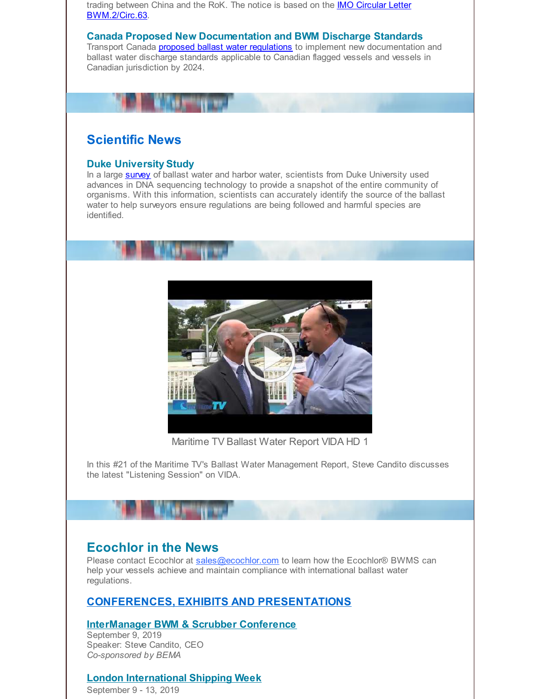trading between China and the RoK. The notice is based on the **IMO Circular Letter** [BWM.2/Circ.63.](http://r20.rs6.net/tn.jsp?f=001obKBz4J7XbEJUJ5Ck_RjSesS5e4OjAGq2TXvL6vR-qVl35QEYfQQoGQ04oaiqG96pG-Q8g8sJeilfCywvza2CgfP2Z0ko0pfyHmJ9BRD2LGD4nzneDlF8UIseoowu6OTnQFG2TQs5G6ECmfSrKLEFnW14_rcPp-N4oqy_Eofd5aSgDmCo3jwYUfqj5HNnlOCouFppPJRd77dYq77PJHgvwAoI5Fouggya3PjWFvG_LSYbKOnuyQk-f1ycvj0oLSNw-IUR7MQrHMVqSIs7Hrs3MVk2MThrIXn2Td40LZgKY9v2Ba7QMcHxL1n-tC6tnhxMl5Xcq8hO_LY3nPkoAofBuhuXYnH-8nF-TxovgIOKJKc5WFuuuDQNydlwerIKCilaEZthWi-YMECjSfzceUNY72yyJ3Qh2vqkX2z9g6Fe5BtorplXvgRjjWZx9CKYY14T46xLa3DmwUf16RXWh7FrTaiA8bBzS-ltca3PgIX3Ksj8J3riueYq3GqJ7z1Myqis6izJfrPfFuhXLVZggdkceOFVsIHF8Yc5fH9DhKVh6g=&c=&ch=)

#### **Canada Proposed New Documentation and BWM Discharge Standards**

Transport Canada **proposed ballast water [regulations](http://r20.rs6.net/tn.jsp?f=001obKBz4J7XbEJUJ5Ck_RjSesS5e4OjAGq2TXvL6vR-qVl35QEYfQQoGQ04oaiqG96O1wf2pcVTmf1WzWhNvEDbmnRPP4hwhF4ey10Wiyqmy0eTMjvKtnDvQlUgXtZsNWoIDC2u8VJP3qwf7Ocwqp2CpAulP8UBHaysjdWXoRjedLa2aI0RHBX9NcoYbrmG_GZn-CbdbWql_nTiOVhpoe8cfs0XLcB8bMhRBLRGIoJWaY1MLOqXiJcPOkPD9TnyhgA2jb4eQJ6xSUh9N94hNYqki2PVEqoXPqQmURBpFl1FYITUvEEQE4KcwGrt5Eeh-SRzRMTnASIph4F3xnlqEXdEPMWv6LzKX-OvEzYmCMzOzL6NZEdk6GQb6yPpWJCxcsJD9GOqOUlZZA=&c=&ch=)** to implement new documentation and ballast water discharge standards applicable to Canadian flagged vessels and vessels in Canadian jurisdiction by 2024.

# **Scientific News**

#### **Duke University Study**

In a large **[survey](http://r20.rs6.net/tn.jsp?f=001obKBz4J7XbEJUJ5Ck_RjSesS5e4OjAGq2TXvL6vR-qVl35QEYfQQoGQ04oaiqG96P1LBT8N__vDcB_uunBprUwnzoKCanLv1yw39veQKwRy76WZhBPkx7NUnz-xMnV_82KYyVYCakbynEOxktj7cuhEJea--AJ4fX32vcfv7METP8Cplwo4Q4auXzyM7s4I4Qz6O-2AuW5Gc0y69Qhit-O5lbJUd9ly_BLA2LgfAAxHouaVg4q9Ltao_6J7aMSlZfZRBpM_LpbdoRldpcsVT4pA1NBsJaIqxb720kHCTgOLJcp5IvV3DwxkIEVYfZJ2Vw13PqSjpyJeKDkTbm0iBI-U_CzlQLx_zwif4XlXPs30AJzot1boMCRl66TZvRXmrixrFq95LBH9iS3BpGPFdmVDc5dTLXuuf&c=&ch=)** of ballast water and harbor water, scientists from Duke University used advances in DNA sequencing technology to provide a snapshot of the entire community of organisms. With this information, scientists can accurately identify the source of the ballast water to help surveyors ensure regulations are being followed and harmful species are identified.



Maritime TV Ballast Water Report VIDA HD 1

In this #21 of the Maritime TV's Ballast Water Management Report, Steve Candito discusses the latest "Listening Session" on VIDA.

# **Ecochlor in the News**

Please contact Ecochlor at [sales@ecochlor.com](mailto:sales@ecochlor.com) to learn how the Ecochlor® BWMS can help your vessels achieve and maintain compliance with international ballast water regulations.

# **CONFERENCES, EXHIBITS AND PRESENTATIONS**

#### **InterManager BWM & Scrubber Conference** September 9, 2019 Speaker: Steve Candito, CEO

*Co-sponsored by BEMA*

# **London International Shipping Week**

September 9 - 13, 2019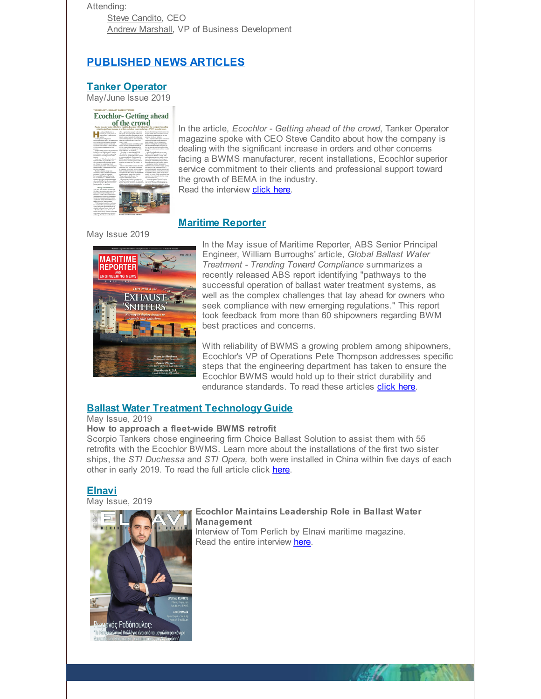Attending:

Steve [Candito](mailto:steve.candito@ecochlor.com), CEO Andrew [Marshall](mailto:andrew.marshall@ecochlor.com), VP of Business Development

# **PUBLISHED NEWS ARTICLES**

# **Tanker [Operator](http://r20.rs6.net/tn.jsp?f=001obKBz4J7XbEJUJ5Ck_RjSesS5e4OjAGq2TXvL6vR-qVl35QEYfQQoGQ04oaiqG96mlSZxIlbnJU8mIiGmAzjoiDGVu5o1kRr3NesPmKcWQ81El4TSJdl7yP1pqpB_pvVdA5m_6PLK_l5ORNrW2uIN5uW-wjZI7lSCx2_FVTYXrxD9BjonknV0aWo66DUYokrofU31j1EimymZVwYJa5TAFjTHhCSSg4VCuv6NDEQiL7t-f6Eg4zTKDrwsjSXDYDsjueBKdPDU6IEdmAp6an3Bgmt97Gs6P9LUTREe-i4my9P0vSv9dygh6k7EJs1_NShCFn7EgKO-R4T7vSsBWTrVX-qRafGWWEBNZ1hBLqIl_uanyqtmqtbsCGA2Eygqpiv&c=&ch=)**

May/June Issue 2019



In the article, *Ecochlor - Getting ahead of the crowd*, Tanker Operator magazine spoke with CEO Steve Candito about how the company is dealing with the significant increase in orders and other concerns facing a BWMS manufacturer, recent installations, Ecochlor superior service commitment to their clients and professional support toward the growth of BEMA in the industry. Read the interview **[click](http://r20.rs6.net/tn.jsp?f=001obKBz4J7XbEJUJ5Ck_RjSesS5e4OjAGq2TXvL6vR-qVl35QEYfQQoGQ04oaiqG96qAtMSWnAhvnvqoEWAXhDBzoWlCB2DPDI4dntfz4taOWaXiRoeE1R01X2YYp_QVf6u1VkRnwAaxXDm98zXBsxSEwcCOusTL5F0m6vnaJ8osiQpIQzD-inb3d_RcVAtshKujawHQeJeFZnN5ejiPzHrV5v5ywJR68JgsoYRHv1uDN1JBH604gM6xx6cYnkWqym&c=&ch=) here**.

# **Maritime [Reporter](http://r20.rs6.net/tn.jsp?f=001obKBz4J7XbEJUJ5Ck_RjSesS5e4OjAGq2TXvL6vR-qVl35QEYfQQoGQ04oaiqG96D2l1u3_dKtVBT3obFUTUGk6CRN3ymoJR8i6fTsmtK74p-cfiVMeZLfLN_Ds3tTGwFKnYh5AED-GXQ-S57ykCrep4wjiDlK4cOKVC8kM_-63t5SCLVTQdzz2b6khGGMkLHkktt0pJv5hIZKCgQgDWq0DBJlUaSoARmT6DoX2Xo6qA0V4iN11bcJsyi6z39Bmy3u1k-xIhaxAMVQEYJskb9BLThgvrZX3bgU3vaQ9r8MIIrlOip5r-YAj_7eCN3_Mtz7esUrzQXb19ug9j_eZGfzYI8wZIidBkzyCREiJIRT_u6dyEcw10sd8gFDNQuOXS&c=&ch=)**

May Issue 2019 **MARITIMF** 

REPORTER

**EXHAUST** 



With reliability of BWMS a growing problem among shipowners, Ecochlor's VP of Operations Pete Thompson addresses specific steps that the engineering department has taken to ensure the Ecochlor BWMS would hold up to their strict durability and endurance standards. To read these articles **[click](http://r20.rs6.net/tn.jsp?f=001obKBz4J7XbEJUJ5Ck_RjSesS5e4OjAGq2TXvL6vR-qVl35QEYfQQoGQ04oaiqG96aFU5AQHdF9iIR028d4UyUZJHKJsgxWMFrG0ynd8NHSomy8ZC2u5axeSvhdYmt2H-XXJEFnzJ4uTA2u2ivt2H16mz7WxoVkvhbYVqol_cKPb2iI2PiVkN9cCiKs127joaQgBQHnVKzg5617b3azIRPZJ5lSp6ISTE3mVjXAOCNwdkeRo3AR5An9MncpcgdZXp&c=&ch=) here.** 

# **Ballast Water Treatment [Technology](http://r20.rs6.net/tn.jsp?f=001obKBz4J7XbEJUJ5Ck_RjSesS5e4OjAGq2TXvL6vR-qVl35QEYfQQoGQ04oaiqG96ek9TE4hwxSyzKvshmj9bAB8Beb9viLIpGV6WIrcPGNft4oljitjUMhDfgGAns1zD-ZMqITcXQIV0z6LR5iA-xvFC0DyiLRlm5T9u8zAPohTjjyp3Rz5LPM84iE_wph6UcRZ3WW1E0vACHxnE5e5rZjqLUjMmuNWrgu4cRIeTXy4myODtaQ1iVMrFaabBTQYIcc2H1jbvm6iT5kQ9HZbg4ox45PmGMsMJN1Lvm4fGQQ4clHE-memkcLSt9sqJ3BZw7XzYH4s6EyjTbQYhr7ApV5GPJC51GCAhUsXATrAALzfKu4Rrz9aCs62IA4c1503QjNlJ5OEPzb0hmaMRO9ZDBazNrNzoYc5zH-53Uwapc7Qk_7QqOHN6E1yQZfKCTHVV&c=&ch=) Guide**

May Issue, 2019

#### **How to approach a fleet-wide BWMS retrofit**

Scorpio Tankers chose engineering firm Choice Ballast Solution to assist them with 55 retrofits with the Ecochlor BWMS. Learn more about the installations of the first two sister ships, the *STI Duchessa* and *STI Opera,* both were installed in China within five days of each other in early 2019. To read the full article click [here](http://r20.rs6.net/tn.jsp?f=001obKBz4J7XbEJUJ5Ck_RjSesS5e4OjAGq2TXvL6vR-qVl35QEYfQQoGQ04oaiqG96ek9TE4hwxSyzKvshmj9bAB8Beb9viLIpGV6WIrcPGNft4oljitjUMhDfgGAns1zD-ZMqITcXQIV0z6LR5iA-xvFC0DyiLRlm5T9u8zAPohTjjyp3Rz5LPM84iE_wph6UcRZ3WW1E0vACHxnE5e5rZjqLUjMmuNWrgu4cRIeTXy4myODtaQ1iVMrFaabBTQYIcc2H1jbvm6iT5kQ9HZbg4ox45PmGMsMJN1Lvm4fGQQ4clHE-memkcLSt9sqJ3BZw7XzYH4s6EyjTbQYhr7ApV5GPJC51GCAhUsXATrAALzfKu4Rrz9aCs62IA4c1503QjNlJ5OEPzb0hmaMRO9ZDBazNrNzoYc5zH-53Uwapc7Qk_7QqOHN6E1yQZfKCTHVV&c=&ch=).

# **[Elnavi](http://r20.rs6.net/tn.jsp?f=001obKBz4J7XbEJUJ5Ck_RjSesS5e4OjAGq2TXvL6vR-qVl35QEYfQQoGQ04oaiqG96UDndYljvLl64ZgHZktTzuWXPSvo_hXcWr5wPMZ6yj296oJzKtsCti-zv7T7VfUuIHpCb9BIlE844hQiXfH5CmELuboB2pYncI1aaXunvJYpgWKe_yBwbzzVX1wMnABUAJp2nExiUH98aVmbOdiVJuKrDVci6DVXjkHw7p7iPpoq-HOuU0V0V6JTUvFQfdBYnNXdq1rvdjX9Rtd2M6leBYLp19kyu-bCXFdkQgvb2Wzo81N8-H7cgcGAw9uAXVnJk&c=&ch=)**

May Issue, 2019



#### **Ecochlor Maintains Leadership Role in Ballast Water Management**

Interview of Tom Perlich by Elnavi maritime magazine. Read the entire interview [here](http://r20.rs6.net/tn.jsp?f=001obKBz4J7XbEJUJ5Ck_RjSesS5e4OjAGq2TXvL6vR-qVl35QEYfQQoGQ04oaiqG96XcYkYiCYK2Wkp1ok-99d-k_sXI8j536hni3JpdWnH5WGrCNAU8X27aR0MDKIpAeGqYFEZ_M5qaGeyFTbl8peSt45TkwHMp-szJ-GmVgB8TJPE25XLas03pHM2byqB2u8MCMV7B5ShdR7SMxe1xHJ4INoXcHMcx94y6yFcSXD3myiAhRxp1yh54fbYkFiSe5q&c=&ch=).